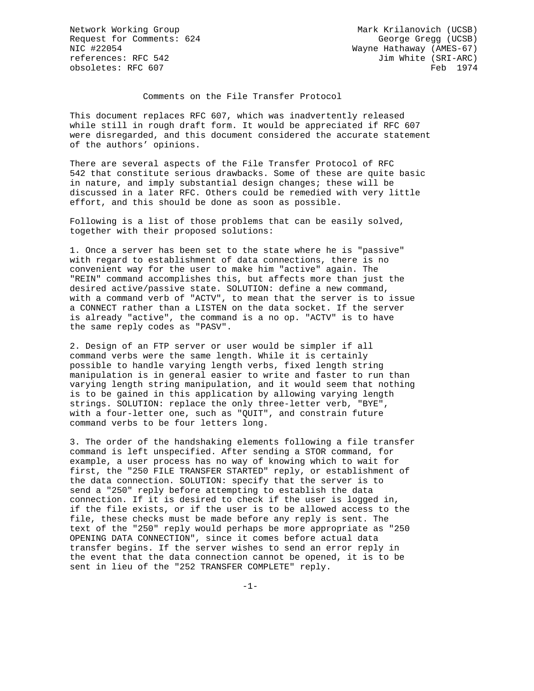Request for Comments: 624 George Gregg (UCSB) NIC #22054 Wayne Hathaway (AMES-67) references: RFC 542 Jim White (SRI-ARC)<br>
obsoletes: RFC 607 Feb obsoletes: RFC 607

Network Working Group Mark Krilanovich (UCSB)

## Comments on the File Transfer Protocol

This document replaces RFC 607, which was inadvertently released while still in rough draft form. It would be appreciated if RFC 607 were disregarded, and this document considered the accurate statement of the authors' opinions.

There are several aspects of the File Transfer Protocol of RFC 542 that constitute serious drawbacks. Some of these are quite basic in nature, and imply substantial design changes; these will be discussed in a later RFC. Others could be remedied with very little effort, and this should be done as soon as possible.

Following is a list of those problems that can be easily solved, together with their proposed solutions:

1. Once a server has been set to the state where he is "passive" with regard to establishment of data connections, there is no convenient way for the user to make him "active" again. The "REIN" command accomplishes this, but affects more than just the desired active/passive state. SOLUTION: define a new command, with a command verb of "ACTV", to mean that the server is to issue a CONNECT rather than a LISTEN on the data socket. If the server is already "active", the command is a no op. "ACTV" is to have the same reply codes as "PASV".

2. Design of an FTP server or user would be simpler if all command verbs were the same length. While it is certainly possible to handle varying length verbs, fixed length string manipulation is in general easier to write and faster to run than varying length string manipulation, and it would seem that nothing is to be gained in this application by allowing varying length strings. SOLUTION: replace the only three-letter verb, "BYE", with a four-letter one, such as "QUIT", and constrain future command verbs to be four letters long.

3. The order of the handshaking elements following a file transfer command is left unspecified. After sending a STOR command, for example, a user process has no way of knowing which to wait for first, the "250 FILE TRANSFER STARTED" reply, or establishment of the data connection. SOLUTION: specify that the server is to send a "250" reply before attempting to establish the data connection. If it is desired to check if the user is logged in, if the file exists, or if the user is to be allowed access to the file, these checks must be made before any reply is sent. The text of the "250" reply would perhaps be more appropriate as "250 OPENING DATA CONNECTION", since it comes before actual data transfer begins. If the server wishes to send an error reply in the event that the data connection cannot be opened, it is to be sent in lieu of the "252 TRANSFER COMPLETE" reply.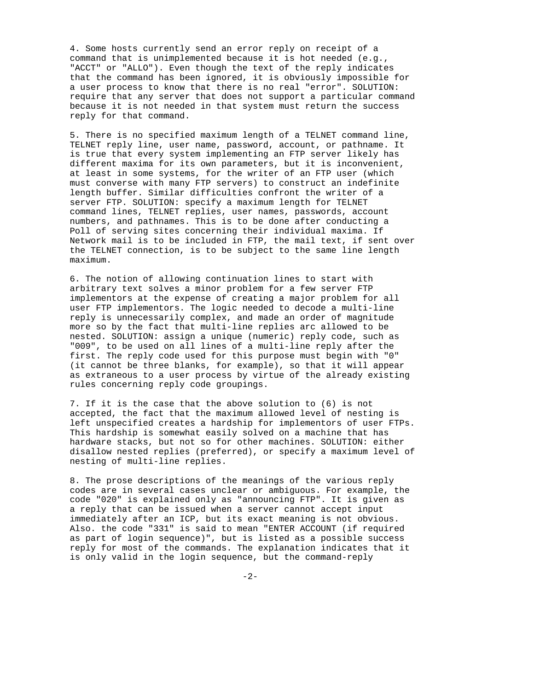4. Some hosts currently send an error reply on receipt of a command that is unimplemented because it is hot needed (e.g., "ACCT" or "ALLO"). Even though the text of the reply indicates that the command has been ignored, it is obviously impossible for a user process to know that there is no real "error". SOLUTION: require that any server that does not support a particular command because it is not needed in that system must return the success reply for that command.

5. There is no specified maximum length of a TELNET command line, TELNET reply line, user name, password, account, or pathname. It is true that every system implementing an FTP server likely has different maxima for its own parameters, but it is inconvenient, at least in some systems, for the writer of an FTP user (which must converse with many FTP servers) to construct an indefinite length buffer. Similar difficulties confront the writer of a server FTP. SOLUTION: specify a maximum length for TELNET command lines, TELNET replies, user names, passwords, account numbers, and pathnames. This is to be done after conducting a Poll of serving sites concerning their individual maxima. If Network mail is to be included in FTP, the mail text, if sent over the TELNET connection, is to be subject to the same line length maximum.

6. The notion of allowing continuation lines to start with arbitrary text solves a minor problem for a few server FTP implementors at the expense of creating a major problem for all user FTP implementors. The logic needed to decode a multi-line reply is unnecessarily complex, and made an order of magnitude more so by the fact that multi-line replies arc allowed to be nested. SOLUTION: assign a unique (numeric) reply code, such as "009", to be used on all lines of a multi-line reply after the first. The reply code used for this purpose must begin with "0" (it cannot be three blanks, for example), so that it will appear as extraneous to a user process by virtue of the already existing rules concerning reply code groupings.

7. If it is the case that the above solution to (6) is not accepted, the fact that the maximum allowed level of nesting is left unspecified creates a hardship for implementors of user FTPs. This hardship is somewhat easily solved on a machine that has hardware stacks, but not so for other machines. SOLUTION: either disallow nested replies (preferred), or specify a maximum level of nesting of multi-line replies.

8. The prose descriptions of the meanings of the various reply codes are in several cases unclear or ambiguous. For example, the code "020" is explained only as "announcing FTP". It is given as a reply that can be issued when a server cannot accept input immediately after an ICP, but its exact meaning is not obvious. Also. the code "331" is said to mean "ENTER ACCOUNT (if required as part of login sequence)", but is listed as a possible success reply for most of the commands. The explanation indicates that it is only valid in the login sequence, but the command-reply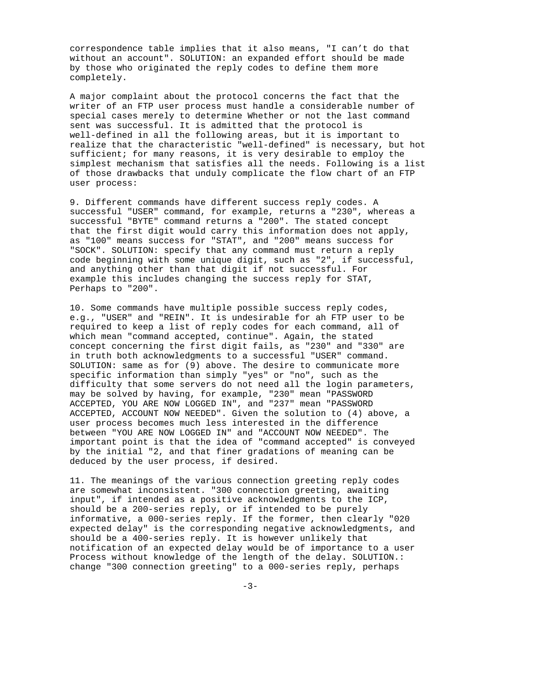correspondence table implies that it also means, "I can't do that without an account". SOLUTION: an expanded effort should be made by those who originated the reply codes to define them more completely.

A major complaint about the protocol concerns the fact that the writer of an FTP user process must handle a considerable number of special cases merely to determine Whether or not the last command sent was successful. It is admitted that the protocol is well-defined in all the following areas, but it is important to realize that the characteristic "well-defined" is necessary, but hot sufficient; for many reasons, it is very desirable to employ the simplest mechanism that satisfies all the needs. Following is a list of those drawbacks that unduly complicate the flow chart of an FTP user process:

9. Different commands have different success reply codes. A successful "USER" command, for example, returns a "230", whereas a successful "BYTE" command returns a "200". The stated concept that the first digit would carry this information does not apply, as "100" means success for "STAT", and "200" means success for "SOCK". SOLUTION: specify that any command must return a reply code beginning with some unique digit, such as "2", if successful, and anything other than that digit if not successful. For example this includes changing the success reply for STAT, Perhaps to "200".

10. Some commands have multiple possible success reply codes, e.g., "USER" and "REIN". It is undesirable for ah FTP user to be required to keep a list of reply codes for each command, all of which mean "command accepted, continue". Again, the stated concept concerning the first digit fails, as "230" and "330" are in truth both acknowledgments to a successful "USER" command. SOLUTION: same as for (9) above. The desire to communicate more specific information than simply "yes" or "no", such as the difficulty that some servers do not need all the login parameters, may be solved by having, for example, "230" mean "PASSWORD ACCEPTED, YOU ARE NOW LOGGED IN", and "237" mean "PASSWORD ACCEPTED, ACCOUNT NOW NEEDED". Given the solution to (4) above, a user process becomes much less interested in the difference between "YOU ARE NOW LOGGED IN" and "ACCOUNT NOW NEEDED". The important point is that the idea of "command accepted" is conveyed by the initial "2, and that finer gradations of meaning can be deduced by the user process, if desired.

11. The meanings of the various connection greeting reply codes are somewhat inconsistent. "300 connection greeting, awaiting input", if intended as a positive acknowledgments to the ICP, should be a 200-series reply, or if intended to be purely informative, a 000-series reply. If the former, then clearly "020 expected delay" is the corresponding negative acknowledgments, and should be a 400-series reply. It is however unlikely that notification of an expected delay would be of importance to a user Process without knowledge of the length of the delay. SOLUTION.: change "300 connection greeting" to a 000-series reply, perhaps